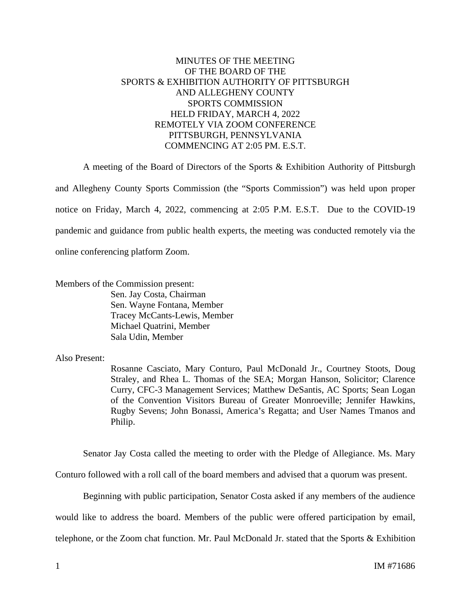# MINUTES OF THE MEETING OF THE BOARD OF THE SPORTS & EXHIBITION AUTHORITY OF PITTSBURGH AND ALLEGHENY COUNTY SPORTS COMMISSION HELD FRIDAY, MARCH 4, 2022 REMOTELY VIA ZOOM CONFERENCE PITTSBURGH, PENNSYLVANIA COMMENCING AT 2:05 PM. E.S.T.

A meeting of the Board of Directors of the Sports & Exhibition Authority of Pittsburgh and Allegheny County Sports Commission (the "Sports Commission") was held upon proper notice on Friday, March 4, 2022, commencing at 2:05 P.M. E.S.T. Due to the COVID-19 pandemic and guidance from public health experts, the meeting was conducted remotely via the online conferencing platform Zoom.

Members of the Commission present:

Sen. Jay Costa, Chairman Sen. Wayne Fontana, Member Tracey McCants-Lewis, Member Michael Quatrini, Member Sala Udin, Member

# Also Present:

Rosanne Casciato, Mary Conturo, Paul McDonald Jr., Courtney Stoots, Doug Straley, and Rhea L. Thomas of the SEA; Morgan Hanson, Solicitor; Clarence Curry, CFC-3 Management Services; Matthew DeSantis, AC Sports; Sean Logan of the Convention Visitors Bureau of Greater Monroeville; Jennifer Hawkins, Rugby Sevens; John Bonassi, America's Regatta; and User Names Tmanos and Philip.

Senator Jay Costa called the meeting to order with the Pledge of Allegiance. Ms. Mary

Conturo followed with a roll call of the board members and advised that a quorum was present.

Beginning with public participation, Senator Costa asked if any members of the audience

would like to address the board. Members of the public were offered participation by email,

telephone, or the Zoom chat function. Mr. Paul McDonald Jr. stated that the Sports & Exhibition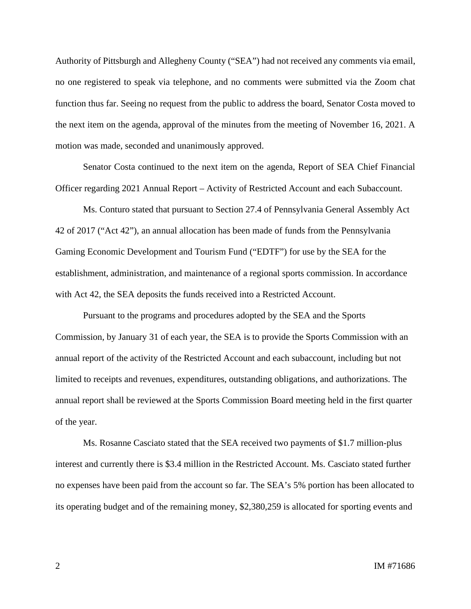Authority of Pittsburgh and Allegheny County ("SEA") had not received any comments via email, no one registered to speak via telephone, and no comments were submitted via the Zoom chat function thus far. Seeing no request from the public to address the board, Senator Costa moved to the next item on the agenda, approval of the minutes from the meeting of November 16, 2021. A motion was made, seconded and unanimously approved.

Senator Costa continued to the next item on the agenda, Report of SEA Chief Financial Officer regarding 2021 Annual Report – Activity of Restricted Account and each Subaccount.

Ms. Conturo stated that pursuant to Section 27.4 of Pennsylvania General Assembly Act 42 of 2017 ("Act 42"), an annual allocation has been made of funds from the Pennsylvania Gaming Economic Development and Tourism Fund ("EDTF") for use by the SEA for the establishment, administration, and maintenance of a regional sports commission. In accordance with Act 42, the SEA deposits the funds received into a Restricted Account.

Pursuant to the programs and procedures adopted by the SEA and the Sports Commission, by January 31 of each year, the SEA is to provide the Sports Commission with an annual report of the activity of the Restricted Account and each subaccount, including but not limited to receipts and revenues, expenditures, outstanding obligations, and authorizations. The annual report shall be reviewed at the Sports Commission Board meeting held in the first quarter of the year.

Ms. Rosanne Casciato stated that the SEA received two payments of \$1.7 million-plus interest and currently there is \$3.4 million in the Restricted Account. Ms. Casciato stated further no expenses have been paid from the account so far. The SEA's 5% portion has been allocated to its operating budget and of the remaining money, \$2,380,259 is allocated for sporting events and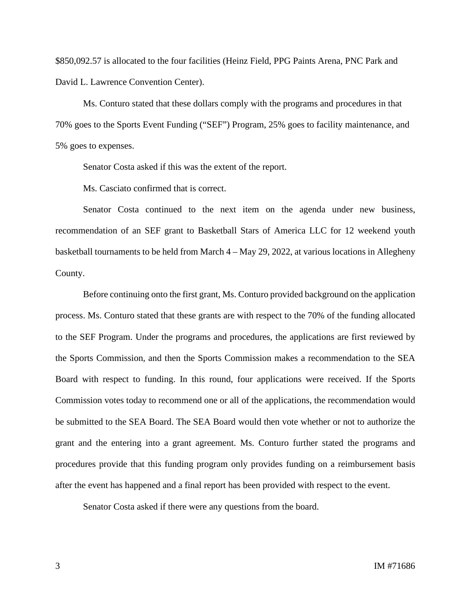\$850,092.57 is allocated to the four facilities (Heinz Field, PPG Paints Arena, PNC Park and David L. Lawrence Convention Center).

Ms. Conturo stated that these dollars comply with the programs and procedures in that 70% goes to the Sports Event Funding ("SEF") Program, 25% goes to facility maintenance, and 5% goes to expenses.

Senator Costa asked if this was the extent of the report.

Ms. Casciato confirmed that is correct.

Senator Costa continued to the next item on the agenda under new business, recommendation of an SEF grant to Basketball Stars of America LLC for 12 weekend youth basketball tournaments to be held from March 4 – May 29, 2022, at various locations in Allegheny County.

Before continuing onto the first grant, Ms. Conturo provided background on the application process. Ms. Conturo stated that these grants are with respect to the 70% of the funding allocated to the SEF Program. Under the programs and procedures, the applications are first reviewed by the Sports Commission, and then the Sports Commission makes a recommendation to the SEA Board with respect to funding. In this round, four applications were received. If the Sports Commission votes today to recommend one or all of the applications, the recommendation would be submitted to the SEA Board. The SEA Board would then vote whether or not to authorize the grant and the entering into a grant agreement. Ms. Conturo further stated the programs and procedures provide that this funding program only provides funding on a reimbursement basis after the event has happened and a final report has been provided with respect to the event.

Senator Costa asked if there were any questions from the board.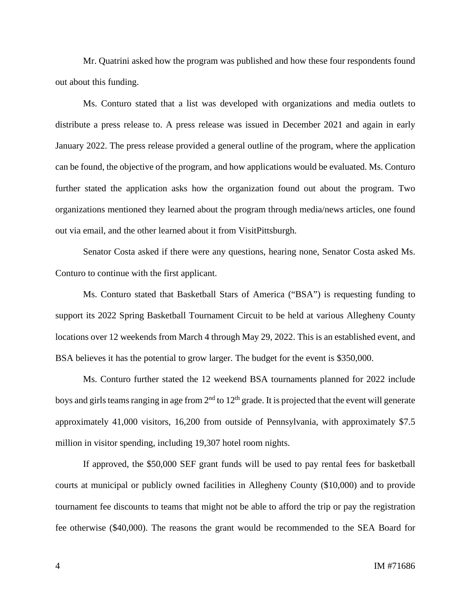Mr. Quatrini asked how the program was published and how these four respondents found out about this funding.

Ms. Conturo stated that a list was developed with organizations and media outlets to distribute a press release to. A press release was issued in December 2021 and again in early January 2022. The press release provided a general outline of the program, where the application can be found, the objective of the program, and how applications would be evaluated. Ms. Conturo further stated the application asks how the organization found out about the program. Two organizations mentioned they learned about the program through media/news articles, one found out via email, and the other learned about it from VisitPittsburgh.

Senator Costa asked if there were any questions, hearing none, Senator Costa asked Ms. Conturo to continue with the first applicant.

Ms. Conturo stated that Basketball Stars of America ("BSA") is requesting funding to support its 2022 Spring Basketball Tournament Circuit to be held at various Allegheny County locations over 12 weekends from March 4 through May 29, 2022. This is an established event, and BSA believes it has the potential to grow larger. The budget for the event is \$350,000.

Ms. Conturo further stated the 12 weekend BSA tournaments planned for 2022 include boys and girls teams ranging in age from  $2<sup>nd</sup>$  to  $12<sup>th</sup>$  grade. It is projected that the event will generate approximately 41,000 visitors, 16,200 from outside of Pennsylvania, with approximately \$7.5 million in visitor spending, including 19,307 hotel room nights.

If approved, the \$50,000 SEF grant funds will be used to pay rental fees for basketball courts at municipal or publicly owned facilities in Allegheny County (\$10,000) and to provide tournament fee discounts to teams that might not be able to afford the trip or pay the registration fee otherwise (\$40,000). The reasons the grant would be recommended to the SEA Board for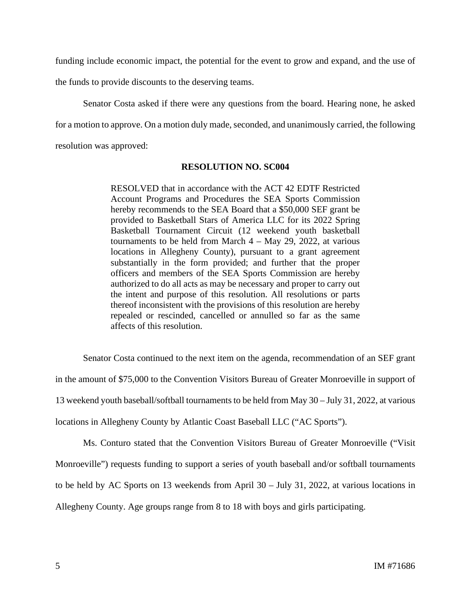funding include economic impact, the potential for the event to grow and expand, and the use of

the funds to provide discounts to the deserving teams.

Senator Costa asked if there were any questions from the board. Hearing none, he asked for a motion to approve. On a motion duly made, seconded, and unanimously carried, the following resolution was approved:

## **RESOLUTION NO. SC004**

RESOLVED that in accordance with the ACT 42 EDTF Restricted Account Programs and Procedures the SEA Sports Commission hereby recommends to the SEA Board that a \$50,000 SEF grant be provided to Basketball Stars of America LLC for its 2022 Spring Basketball Tournament Circuit (12 weekend youth basketball tournaments to be held from March 4 – May 29, 2022, at various locations in Allegheny County), pursuant to a grant agreement substantially in the form provided; and further that the proper officers and members of the SEA Sports Commission are hereby authorized to do all acts as may be necessary and proper to carry out the intent and purpose of this resolution. All resolutions or parts thereof inconsistent with the provisions of this resolution are hereby repealed or rescinded, cancelled or annulled so far as the same affects of this resolution.

Senator Costa continued to the next item on the agenda, recommendation of an SEF grant in the amount of \$75,000 to the Convention Visitors Bureau of Greater Monroeville in support of 13 weekend youth baseball/softball tournaments to be held from May 30 – July 31, 2022, at various locations in Allegheny County by Atlantic Coast Baseball LLC ("AC Sports").

Ms. Conturo stated that the Convention Visitors Bureau of Greater Monroeville ("Visit Monroeville") requests funding to support a series of youth baseball and/or softball tournaments to be held by AC Sports on 13 weekends from April 30 – July 31, 2022, at various locations in Allegheny County. Age groups range from 8 to 18 with boys and girls participating.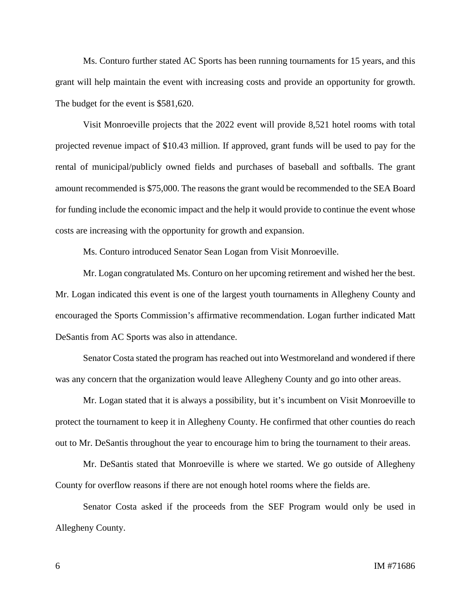Ms. Conturo further stated AC Sports has been running tournaments for 15 years, and this grant will help maintain the event with increasing costs and provide an opportunity for growth. The budget for the event is \$581,620.

Visit Monroeville projects that the 2022 event will provide 8,521 hotel rooms with total projected revenue impact of \$10.43 million. If approved, grant funds will be used to pay for the rental of municipal/publicly owned fields and purchases of baseball and softballs. The grant amount recommended is \$75,000. The reasons the grant would be recommended to the SEA Board for funding include the economic impact and the help it would provide to continue the event whose costs are increasing with the opportunity for growth and expansion.

Ms. Conturo introduced Senator Sean Logan from Visit Monroeville.

Mr. Logan congratulated Ms. Conturo on her upcoming retirement and wished her the best. Mr. Logan indicated this event is one of the largest youth tournaments in Allegheny County and encouraged the Sports Commission's affirmative recommendation. Logan further indicated Matt DeSantis from AC Sports was also in attendance.

Senator Costa stated the program has reached out into Westmoreland and wondered if there was any concern that the organization would leave Allegheny County and go into other areas.

Mr. Logan stated that it is always a possibility, but it's incumbent on Visit Monroeville to protect the tournament to keep it in Allegheny County. He confirmed that other counties do reach out to Mr. DeSantis throughout the year to encourage him to bring the tournament to their areas.

Mr. DeSantis stated that Monroeville is where we started. We go outside of Allegheny County for overflow reasons if there are not enough hotel rooms where the fields are.

Senator Costa asked if the proceeds from the SEF Program would only be used in Allegheny County.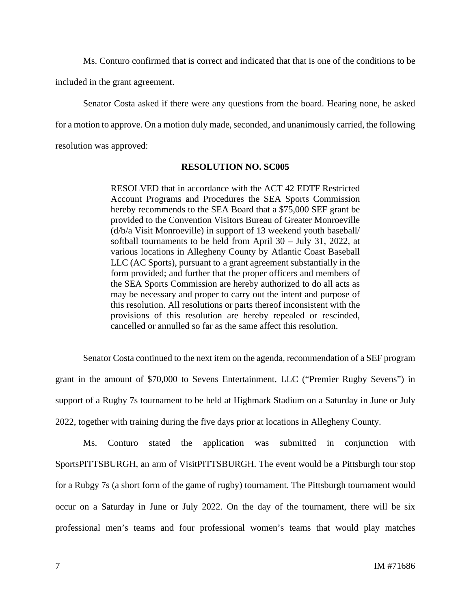Ms. Conturo confirmed that is correct and indicated that that is one of the conditions to be included in the grant agreement.

Senator Costa asked if there were any questions from the board. Hearing none, he asked for a motion to approve. On a motion duly made, seconded, and unanimously carried, the following resolution was approved:

#### **RESOLUTION NO. SC005**

RESOLVED that in accordance with the ACT 42 EDTF Restricted Account Programs and Procedures the SEA Sports Commission hereby recommends to the SEA Board that a \$75,000 SEF grant be provided to the Convention Visitors Bureau of Greater Monroeville (d/b/a Visit Monroeville) in support of 13 weekend youth baseball/ softball tournaments to be held from April 30 – July 31, 2022, at various locations in Allegheny County by Atlantic Coast Baseball LLC (AC Sports), pursuant to a grant agreement substantially in the form provided; and further that the proper officers and members of the SEA Sports Commission are hereby authorized to do all acts as may be necessary and proper to carry out the intent and purpose of this resolution. All resolutions or parts thereof inconsistent with the provisions of this resolution are hereby repealed or rescinded, cancelled or annulled so far as the same affect this resolution.

Senator Costa continued to the next item on the agenda, recommendation of a SEF program grant in the amount of \$70,000 to Sevens Entertainment, LLC ("Premier Rugby Sevens") in support of a Rugby 7s tournament to be held at Highmark Stadium on a Saturday in June or July 2022, together with training during the five days prior at locations in Allegheny County.

Ms. Conturo stated the application was submitted in conjunction with SportsPITTSBURGH, an arm of VisitPITTSBURGH. The event would be a Pittsburgh tour stop for a Rubgy 7s (a short form of the game of rugby) tournament. The Pittsburgh tournament would occur on a Saturday in June or July 2022. On the day of the tournament, there will be six professional men's teams and four professional women's teams that would play matches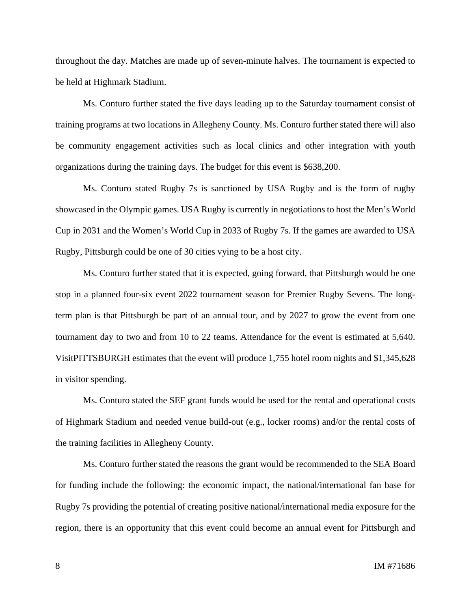throughout the day. Matches are made up of seven-minute halves. The tournament is expected to be held at Highmark Stadium.

Ms. Conturo further stated the five days leading up to the Saturday tournament consist of training programs at two locations in Allegheny County. Ms. Conturo further stated there will also be community engagement activities such as local clinics and other integration with youth organizations during the training days. The budget for this event is \$638,200.

Ms. Conturo stated Rugby 7s is sanctioned by USA Rugby and is the form of rugby showcased in the Olympic games. USA Rugby is currently in negotiations to host the Men's World Cup in 2031 and the Women's World Cup in 2033 of Rugby 7s. If the games are awarded to USA Rugby, Pittsburgh could be one of 30 cities vying to be a host city.

Ms. Conturo further stated that it is expected, going forward, that Pittsburgh would be one stop in a planned four-six event 2022 tournament season for Premier Rugby Sevens. The longterm plan is that Pittsburgh be part of an annual tour, and by 2027 to grow the event from one tournament day to two and from 10 to 22 teams. Attendance for the event is estimated at 5,640. VisitPITTSBURGH estimates that the event will produce 1,755 hotel room nights and \$1,345,628 in visitor spending.

Ms. Conturo stated the SEF grant funds would be used for the rental and operational costs of Highmark Stadium and needed venue build-out (e.g., locker rooms) and/or the rental costs of the training facilities in Allegheny County.

Ms. Conturo further stated the reasons the grant would be recommended to the SEA Board for funding include the following: the economic impact, the national/international fan base for Rugby 7s providing the potential of creating positive national/international media exposure for the region, there is an opportunity that this event could become an annual event for Pittsburgh and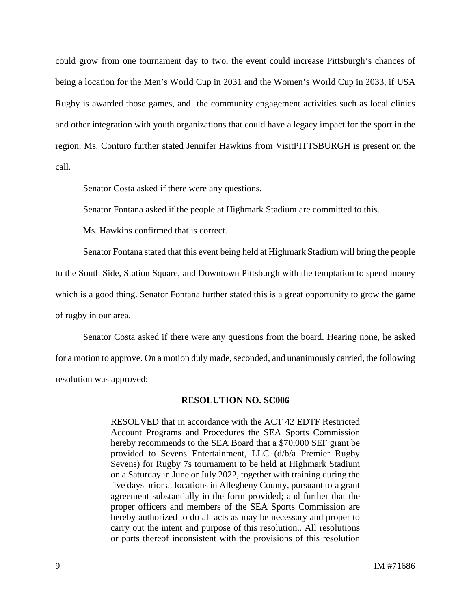could grow from one tournament day to two, the event could increase Pittsburgh's chances of being a location for the Men's World Cup in 2031 and the Women's World Cup in 2033, if USA Rugby is awarded those games, and the community engagement activities such as local clinics and other integration with youth organizations that could have a legacy impact for the sport in the region. Ms. Conturo further stated Jennifer Hawkins from VisitPITTSBURGH is present on the call.

Senator Costa asked if there were any questions.

Senator Fontana asked if the people at Highmark Stadium are committed to this.

Ms. Hawkins confirmed that is correct.

Senator Fontana stated that this event being held at Highmark Stadium will bring the people to the South Side, Station Square, and Downtown Pittsburgh with the temptation to spend money which is a good thing. Senator Fontana further stated this is a great opportunity to grow the game of rugby in our area.

Senator Costa asked if there were any questions from the board. Hearing none, he asked for a motion to approve. On a motion duly made, seconded, and unanimously carried, the following resolution was approved:

#### **RESOLUTION NO. SC006**

RESOLVED that in accordance with the ACT 42 EDTF Restricted Account Programs and Procedures the SEA Sports Commission hereby recommends to the SEA Board that a \$70,000 SEF grant be provided to Sevens Entertainment, LLC (d/b/a Premier Rugby Sevens) for Rugby 7s tournament to be held at Highmark Stadium on a Saturday in June or July 2022, together with training during the five days prior at locations in Allegheny County, pursuant to a grant agreement substantially in the form provided; and further that the proper officers and members of the SEA Sports Commission are hereby authorized to do all acts as may be necessary and proper to carry out the intent and purpose of this resolution.. All resolutions or parts thereof inconsistent with the provisions of this resolution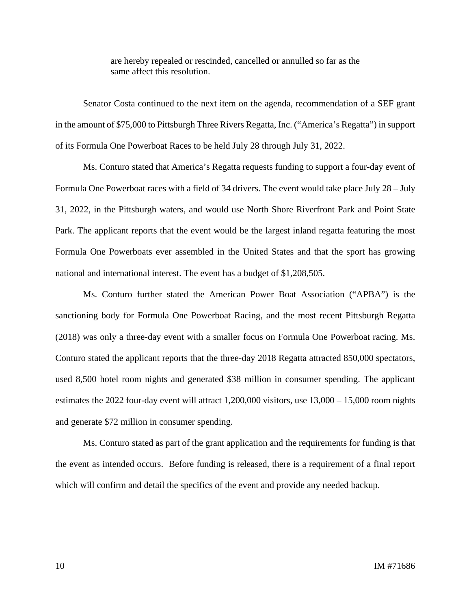are hereby repealed or rescinded, cancelled or annulled so far as the same affect this resolution.

Senator Costa continued to the next item on the agenda, recommendation of a SEF grant in the amount of \$75,000 to Pittsburgh Three Rivers Regatta, Inc. ("America's Regatta") in support of its Formula One Powerboat Races to be held July 28 through July 31, 2022.

Ms. Conturo stated that America's Regatta requests funding to support a four-day event of Formula One Powerboat races with a field of 34 drivers. The event would take place July 28 – July 31, 2022, in the Pittsburgh waters, and would use North Shore Riverfront Park and Point State Park. The applicant reports that the event would be the largest inland regatta featuring the most Formula One Powerboats ever assembled in the United States and that the sport has growing national and international interest. The event has a budget of \$1,208,505.

Ms. Conturo further stated the American Power Boat Association ("APBA") is the sanctioning body for Formula One Powerboat Racing, and the most recent Pittsburgh Regatta (2018) was only a three-day event with a smaller focus on Formula One Powerboat racing. Ms. Conturo stated the applicant reports that the three-day 2018 Regatta attracted 850,000 spectators, used 8,500 hotel room nights and generated \$38 million in consumer spending. The applicant estimates the 2022 four-day event will attract 1,200,000 visitors, use 13,000 – 15,000 room nights and generate \$72 million in consumer spending.

Ms. Conturo stated as part of the grant application and the requirements for funding is that the event as intended occurs. Before funding is released, there is a requirement of a final report which will confirm and detail the specifics of the event and provide any needed backup.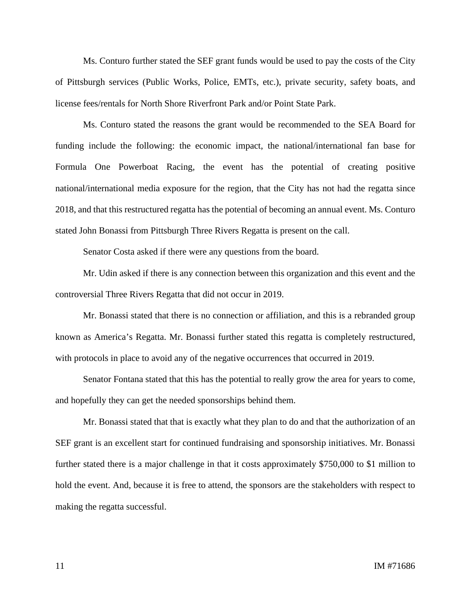Ms. Conturo further stated the SEF grant funds would be used to pay the costs of the City of Pittsburgh services (Public Works, Police, EMTs, etc.), private security, safety boats, and license fees/rentals for North Shore Riverfront Park and/or Point State Park.

Ms. Conturo stated the reasons the grant would be recommended to the SEA Board for funding include the following: the economic impact, the national/international fan base for Formula One Powerboat Racing, the event has the potential of creating positive national/international media exposure for the region, that the City has not had the regatta since 2018, and that this restructured regatta has the potential of becoming an annual event. Ms. Conturo stated John Bonassi from Pittsburgh Three Rivers Regatta is present on the call.

Senator Costa asked if there were any questions from the board.

Mr. Udin asked if there is any connection between this organization and this event and the controversial Three Rivers Regatta that did not occur in 2019.

Mr. Bonassi stated that there is no connection or affiliation, and this is a rebranded group known as America's Regatta. Mr. Bonassi further stated this regatta is completely restructured, with protocols in place to avoid any of the negative occurrences that occurred in 2019.

Senator Fontana stated that this has the potential to really grow the area for years to come, and hopefully they can get the needed sponsorships behind them.

Mr. Bonassi stated that that is exactly what they plan to do and that the authorization of an SEF grant is an excellent start for continued fundraising and sponsorship initiatives. Mr. Bonassi further stated there is a major challenge in that it costs approximately \$750,000 to \$1 million to hold the event. And, because it is free to attend, the sponsors are the stakeholders with respect to making the regatta successful.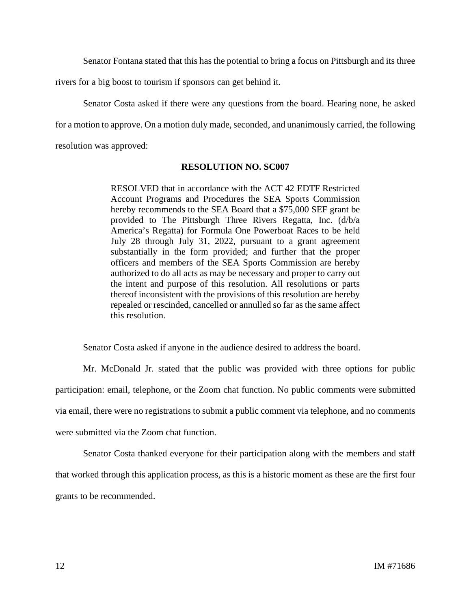Senator Fontana stated that this has the potential to bring a focus on Pittsburgh and its three

rivers for a big boost to tourism if sponsors can get behind it.

Senator Costa asked if there were any questions from the board. Hearing none, he asked for a motion to approve. On a motion duly made, seconded, and unanimously carried, the following resolution was approved:

## **RESOLUTION NO. SC007**

RESOLVED that in accordance with the ACT 42 EDTF Restricted Account Programs and Procedures the SEA Sports Commission hereby recommends to the SEA Board that a \$75,000 SEF grant be provided to The Pittsburgh Three Rivers Regatta, Inc. (d/b/a America's Regatta) for Formula One Powerboat Races to be held July 28 through July 31, 2022, pursuant to a grant agreement substantially in the form provided; and further that the proper officers and members of the SEA Sports Commission are hereby authorized to do all acts as may be necessary and proper to carry out the intent and purpose of this resolution. All resolutions or parts thereof inconsistent with the provisions of this resolution are hereby repealed or rescinded, cancelled or annulled so far as the same affect this resolution.

Senator Costa asked if anyone in the audience desired to address the board.

Mr. McDonald Jr. stated that the public was provided with three options for public participation: email, telephone, or the Zoom chat function. No public comments were submitted via email, there were no registrations to submit a public comment via telephone, and no comments were submitted via the Zoom chat function.

Senator Costa thanked everyone for their participation along with the members and staff that worked through this application process, as this is a historic moment as these are the first four grants to be recommended.